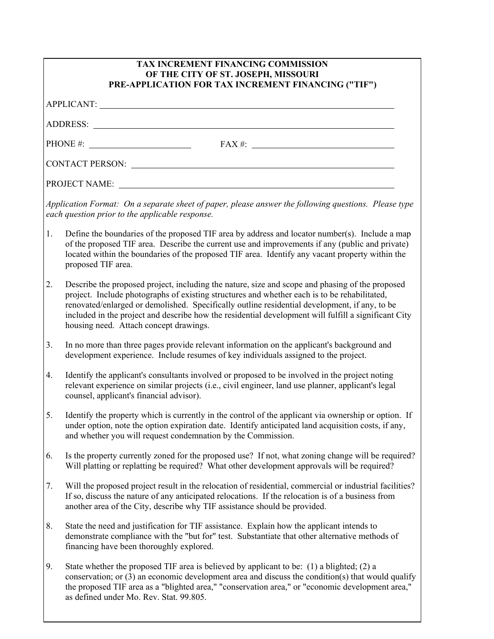| TAX INCREMENT FINANCING COMMISSION<br>OF THE CITY OF ST. JOSEPH, MISSOURI<br>PRE-APPLICATION FOR TAX INCREMENT FINANCING ("TIF")                        |                                                                                                                                                                                                                                                                                                                                                                                                                                                    |  |  |  |
|---------------------------------------------------------------------------------------------------------------------------------------------------------|----------------------------------------------------------------------------------------------------------------------------------------------------------------------------------------------------------------------------------------------------------------------------------------------------------------------------------------------------------------------------------------------------------------------------------------------------|--|--|--|
|                                                                                                                                                         |                                                                                                                                                                                                                                                                                                                                                                                                                                                    |  |  |  |
|                                                                                                                                                         |                                                                                                                                                                                                                                                                                                                                                                                                                                                    |  |  |  |
| PHONE #: $FAX #:$                                                                                                                                       |                                                                                                                                                                                                                                                                                                                                                                                                                                                    |  |  |  |
|                                                                                                                                                         |                                                                                                                                                                                                                                                                                                                                                                                                                                                    |  |  |  |
|                                                                                                                                                         |                                                                                                                                                                                                                                                                                                                                                                                                                                                    |  |  |  |
| Application Format: On a separate sheet of paper, please answer the following questions. Please type<br>each question prior to the applicable response. |                                                                                                                                                                                                                                                                                                                                                                                                                                                    |  |  |  |
| 1.                                                                                                                                                      | Define the boundaries of the proposed TIF area by address and locator number(s). Include a map<br>of the proposed TIF area. Describe the current use and improvements if any (public and private)<br>located within the boundaries of the proposed TIF area. Identify any vacant property within the<br>proposed TIF area.                                                                                                                         |  |  |  |
| 2.                                                                                                                                                      | Describe the proposed project, including the nature, size and scope and phasing of the proposed<br>project. Include photographs of existing structures and whether each is to be rehabilitated,<br>renovated/enlarged or demolished. Specifically outline residential development, if any, to be<br>included in the project and describe how the residential development will fulfill a significant City<br>housing need. Attach concept drawings. |  |  |  |
| 3.                                                                                                                                                      | In no more than three pages provide relevant information on the applicant's background and<br>development experience. Include resumes of key individuals assigned to the project.                                                                                                                                                                                                                                                                  |  |  |  |
| 4.                                                                                                                                                      | Identify the applicant's consultants involved or proposed to be involved in the project noting<br>relevant experience on similar projects (i.e., civil engineer, land use planner, applicant's legal<br>counsel, applicant's financial advisor).                                                                                                                                                                                                   |  |  |  |
| 5.                                                                                                                                                      | Identify the property which is currently in the control of the applicant via ownership or option. If<br>under option, note the option expiration date. Identify anticipated land acquisition costs, if any,<br>and whether you will request condemnation by the Commission.                                                                                                                                                                        |  |  |  |
| 6.                                                                                                                                                      | Is the property currently zoned for the proposed use? If not, what zoning change will be required?<br>Will platting or replatting be required? What other development approvals will be required?                                                                                                                                                                                                                                                  |  |  |  |
| 7.                                                                                                                                                      | Will the proposed project result in the relocation of residential, commercial or industrial facilities?<br>If so, discuss the nature of any anticipated relocations. If the relocation is of a business from<br>another area of the City, describe why TIF assistance should be provided.                                                                                                                                                          |  |  |  |
| 8.                                                                                                                                                      | State the need and justification for TIF assistance. Explain how the applicant intends to<br>demonstrate compliance with the "but for" test. Substantiate that other alternative methods of<br>financing have been thoroughly explored.                                                                                                                                                                                                            |  |  |  |
| 9.                                                                                                                                                      | State whether the proposed TIF area is believed by applicant to be: (1) a blighted; (2) a<br>conservation; or (3) an economic development area and discuss the condition(s) that would qualify<br>the proposed TIF area as a "blighted area," "conservation area," or "economic development area,"<br>as defined under Mo. Rev. Stat. 99.805.                                                                                                      |  |  |  |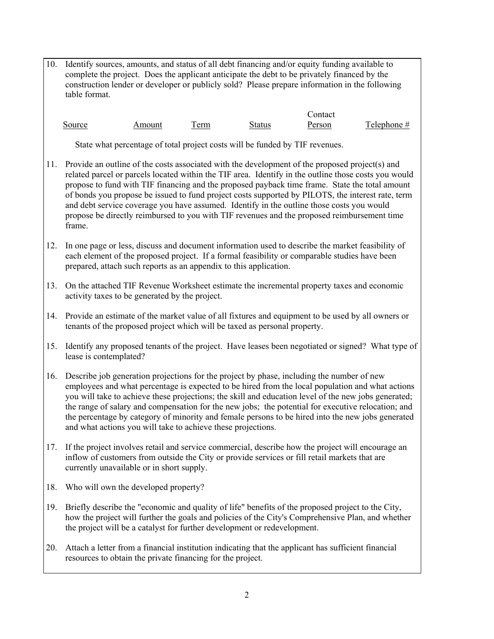10. Identify sources, amounts, and status of all debt financing and/or equity funding available to complete the project. Does the applicant anticipate the debt to be privately financed by the construction lender or developer or publicly sold? Please prepare information in the following table format.

**Contact** Source Amount Term Status Person Telephone #

State what percentage of total project costs will be funded by TIF revenues.

- 11. Provide an outline of the costs associated with the development of the proposed project(s) and related parcel or parcels located within the TIF area. Identify in the outline those costs you would propose to fund with TIF financing and the proposed payback time frame. State the total amount of bonds you propose be issued to fund project costs supported by PILOTS, the interest rate, term and debt service coverage you have assumed. Identify in the outline those costs you would propose be directly reimbursed to you with TIF revenues and the proposed reimbursement time frame.
- 12. In one page or less, discuss and document information used to describe the market feasibility of each element of the proposed project. If a formal feasibility or comparable studies have been prepared, attach such reports as an appendix to this application.
- 13. On the attached TIF Revenue Worksheet estimate the incremental property taxes and economic activity taxes to be generated by the project.
- 14. Provide an estimate of the market value of all fixtures and equipment to be used by all owners or tenants of the proposed project which will be taxed as personal property.
- 15. Identify any proposed tenants of the project. Have leases been negotiated or signed? What type of lease is contemplated?
- 16. Describe job generation projections for the project by phase, including the number of new employees and what percentage is expected to be hired from the local population and what actions you will take to achieve these projections; the skill and education level of the new jobs generated; the range of salary and compensation for the new jobs; the potential for executive relocation; and the percentage by category of minority and female persons to be hired into the new jobs generated and what actions you will take to achieve these projections.
- 17. If the project involves retail and service commercial, describe how the project will encourage an inflow of customers from outside the City or provide services or fill retail markets that are currently unavailable or in short supply.
- 18. Who will own the developed property?
- 19. Briefly describe the "economic and quality of life" benefits of the proposed project to the City, how the project will further the goals and policies of the City's Comprehensive Plan, and whether the project will be a catalyst for further development or redevelopment.
- 20. Attach a letter from a financial institution indicating that the applicant has sufficient financial resources to obtain the private financing for the project.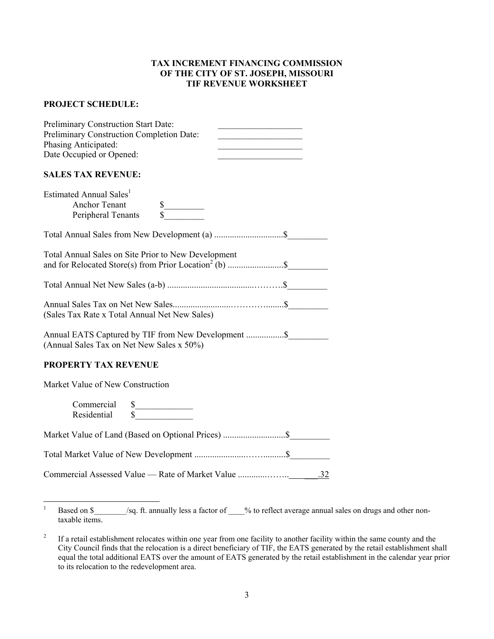## **TAX INCREMENT FINANCING COMMISSION OF THE CITY OF ST. JOSEPH, MISSOURI TIF REVENUE WORKSHEET**

## **PROJECT SCHEDULE:**

| Preliminary Construction Start Date:<br>Preliminary Construction Completion Date:<br><u> 1989 - Johann Barbara, martxa alemaniar a</u><br>Phasing Anticipated:<br><u> 1989 - Johann Barbara, martxa a</u><br>Date Occupied or Opened: |  |
|---------------------------------------------------------------------------------------------------------------------------------------------------------------------------------------------------------------------------------------|--|
| <b>SALES TAX REVENUE:</b>                                                                                                                                                                                                             |  |
| Estimated Annual Sales <sup>1</sup><br><b>Anchor Tenant</b><br>$\frac{\text{S}}{\text{S}}$<br>Peripheral Tenants                                                                                                                      |  |
|                                                                                                                                                                                                                                       |  |
| Total Annual Sales on Site Prior to New Development                                                                                                                                                                                   |  |
|                                                                                                                                                                                                                                       |  |
| (Sales Tax Rate x Total Annual Net New Sales)                                                                                                                                                                                         |  |
| (Annual Sales Tax on Net New Sales x 50%)                                                                                                                                                                                             |  |
| <b>PROPERTY TAX REVENUE</b>                                                                                                                                                                                                           |  |
| Market Value of New Construction                                                                                                                                                                                                      |  |
| Commercial<br>$\frac{\text{S}}{\text{S}}$<br>Residential                                                                                                                                                                              |  |
| Market Value of Land (Based on Optional Prices)  \$                                                                                                                                                                                   |  |
|                                                                                                                                                                                                                                       |  |
|                                                                                                                                                                                                                                       |  |

<span id="page-2-0"></span><sup>&</sup>lt;sup>1</sup> Based on \$  $/$ sq. ft. annually less a factor of  $\%$  to reflect average annual sales on drugs and other nontaxable items.

<span id="page-2-1"></span><sup>&</sup>lt;sup>2</sup> If a retail establishment relocates within one year from one facility to another facility within the same county and the City Council finds that the relocation is a direct beneficiary of TIF, the EATS generated by the retail establishment shall equal the total additional EATS over the amount of EATS generated by the retail establishment in the calendar year prior to its relocation to the redevelopment area.